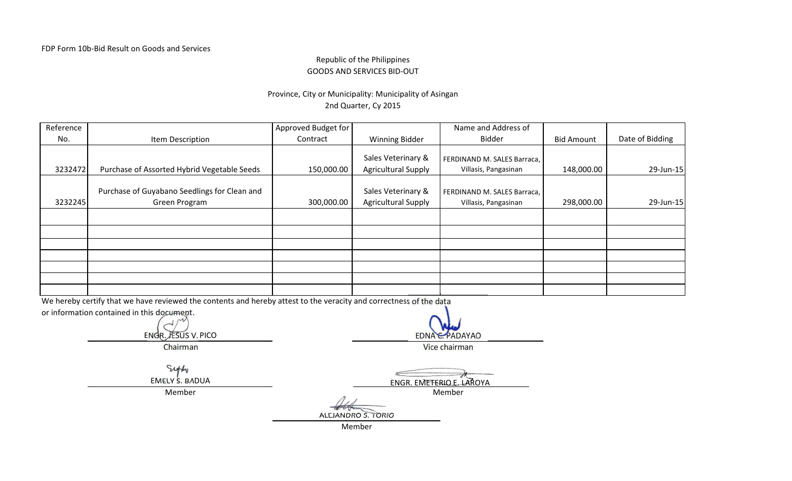### Republic of the PhilippinesGOODS AND SERVICES BID-OUT

# Province, City or Municipality: Municipality of Asingan2nd Quarter, Cy 2015

| Reference                                  |                                                                                                                    | Approved Budget for |                            | Name and Address of         |                   |                 |  |  |
|--------------------------------------------|--------------------------------------------------------------------------------------------------------------------|---------------------|----------------------------|-----------------------------|-------------------|-----------------|--|--|
| No.                                        | Item Description                                                                                                   | Contract            | Winning Bidder             | <b>Bidder</b>               | <b>Bid Amount</b> | Date of Bidding |  |  |
|                                            |                                                                                                                    |                     |                            |                             |                   |                 |  |  |
|                                            |                                                                                                                    |                     | Sales Veterinary &         | FERDINAND M. SALES Barraca, |                   |                 |  |  |
| 3232472                                    | Purchase of Assorted Hybrid Vegetable Seeds                                                                        | 150,000.00          | <b>Agricultural Supply</b> | Villasis, Pangasinan        | 148,000.00        | 29-Jun-15       |  |  |
|                                            |                                                                                                                    |                     |                            |                             |                   |                 |  |  |
|                                            | Purchase of Guyabano Seedlings for Clean and                                                                       |                     | Sales Veterinary &         | FERDINAND M. SALES Barraca, |                   |                 |  |  |
| 3232245                                    | Green Program                                                                                                      | 300,000.00          | <b>Agricultural Supply</b> | Villasis, Pangasinan        | 298,000.00        | 29-Jun-15       |  |  |
|                                            |                                                                                                                    |                     |                            |                             |                   |                 |  |  |
|                                            |                                                                                                                    |                     |                            |                             |                   |                 |  |  |
|                                            |                                                                                                                    |                     |                            |                             |                   |                 |  |  |
|                                            |                                                                                                                    |                     |                            |                             |                   |                 |  |  |
|                                            |                                                                                                                    |                     |                            |                             |                   |                 |  |  |
|                                            |                                                                                                                    |                     |                            |                             |                   |                 |  |  |
|                                            |                                                                                                                    |                     |                            |                             |                   |                 |  |  |
|                                            | We hereby certify that we have reviewed the contents and hereby attest to the veracity and correctness of the data |                     |                            |                             |                   |                 |  |  |
| or information contained in this document. |                                                                                                                    |                     |                            |                             |                   |                 |  |  |
|                                            |                                                                                                                    |                     |                            |                             |                   |                 |  |  |

ENGR. JESUS V. PICO

EDNA C. PADAYAO

Chairman

Vice chairman

Sitty EMELY S. BADUA

Member

 $\leq$ ENGR. EMETERIO E. LAROYA Member

ALEJANDRO S. TORIOMember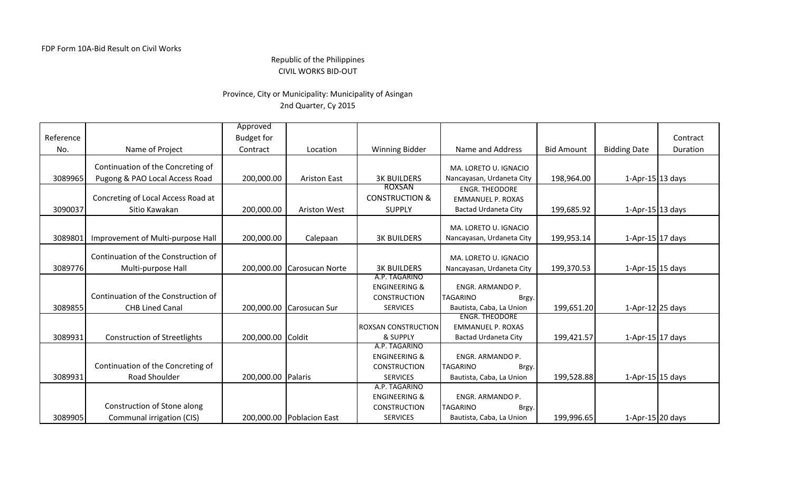### Republic of the PhilippinesCIVIL WORKS BID-OUT

## Province, City or Municipality: Municipality of Asingan2nd Quarter, Cy 2015

|           |                                     | Approved           |                            |                                           |                             |                   |                          |          |
|-----------|-------------------------------------|--------------------|----------------------------|-------------------------------------------|-----------------------------|-------------------|--------------------------|----------|
| Reference |                                     | <b>Budget for</b>  |                            |                                           |                             |                   |                          | Contract |
| No.       | Name of Project                     | Contract           | Location                   | <b>Winning Bidder</b>                     | Name and Address            | <b>Bid Amount</b> | <b>Bidding Date</b>      | Duration |
|           | Continuation of the Concreting of   |                    |                            |                                           | MA. LORETO U. IGNACIO       |                   |                          |          |
| 3089965   | Pugong & PAO Local Access Road      | 200,000.00         | <b>Ariston East</b>        | <b>3K BUILDERS</b>                        | Nancayasan, Urdaneta City   | 198,964.00        | $1-Apr-15$ 13 days       |          |
|           |                                     |                    |                            | <b>ROXSAN</b>                             | <b>ENGR. THEODORE</b>       |                   |                          |          |
|           | Concreting of Local Access Road at  |                    |                            | <b>CONSTRUCTION &amp;</b>                 | <b>EMMANUEL P. ROXAS</b>    |                   |                          |          |
| 3090037   | Sitio Kawakan                       | 200,000.00         | <b>Ariston West</b>        | <b>SUPPLY</b>                             | <b>Bactad Urdaneta City</b> | 199,685.92        | $1-Apr-15$ 13 days       |          |
|           |                                     |                    |                            |                                           | MA, LORETO U, IGNACIO       |                   |                          |          |
| 3089801   | Improvement of Multi-purpose Hall   | 200,000.00         | Calepaan                   | <b>3K BUILDERS</b>                        | Nancayasan, Urdaneta City   | 199,953.14        | 1-Apr-15 $17$ days       |          |
|           |                                     |                    |                            |                                           |                             |                   |                          |          |
|           | Continuation of the Construction of |                    |                            |                                           | MA. LORETO U. IGNACIO       |                   |                          |          |
| 3089776   | Multi-purpose Hall                  |                    | 200,000.00 Carosucan Norte | <b>3K BUILDERS</b>                        | Nancayasan, Urdaneta City   | 199,370.53        | 1-Apr-15 $15$ days       |          |
|           |                                     |                    |                            | A.P. TAGARINO<br><b>ENGINEERING &amp;</b> | ENGR. ARMANDO P.            |                   |                          |          |
|           | Continuation of the Construction of |                    |                            | <b>CONSTRUCTION</b>                       | <b>TAGARINO</b><br>Brgy.    |                   |                          |          |
| 3089855   | <b>CHB Lined Canal</b>              |                    | 200,000.00 Carosucan Sur   | <b>SERVICES</b>                           | Bautista, Caba, La Union    | 199,651.20        | 1-Apr-12 $25$ days       |          |
|           |                                     |                    |                            |                                           | <b>ENGR. THEODORE</b>       |                   |                          |          |
|           |                                     |                    |                            | <b>ROXSAN CONSTRUCTION</b>                | <b>EMMANUEL P. ROXAS</b>    |                   |                          |          |
| 3089931   | <b>Construction of Streetlights</b> | 200,000.00 Coldit  |                            | & SUPPLY                                  | Bactad Urdaneta City        | 199,421.57        | 1-Apr-15 17 days         |          |
|           |                                     |                    |                            | A.P. TAGARINO                             |                             |                   |                          |          |
|           | Continuation of the Concreting of   |                    |                            | <b>ENGINEERING &amp;</b>                  | ENGR. ARMANDO P.            |                   |                          |          |
|           | Road Shoulder                       |                    |                            | <b>CONSTRUCTION</b><br><b>SERVICES</b>    | <b>TAGARINO</b><br>Brgy.    |                   |                          |          |
| 3089931   |                                     | 200,000.00 Palaris |                            | A.P. TAGARINO                             | Bautista, Caba, La Union    | 199,528.88        | $1-Apr-15$ 15 days       |          |
|           |                                     |                    |                            | <b>ENGINEERING &amp;</b>                  | ENGR. ARMANDO P.            |                   |                          |          |
|           | Construction of Stone along         |                    |                            | <b>CONSTRUCTION</b>                       | <b>TAGARINO</b><br>Brgy.    |                   |                          |          |
| 3089905   | Communal irrigation (CIS)           |                    | 200,000.00 Poblacion East  | <b>SERVICES</b>                           | Bautista, Caba, La Union    | 199,996.65        | 1-Apr-15 $\vert$ 20 days |          |